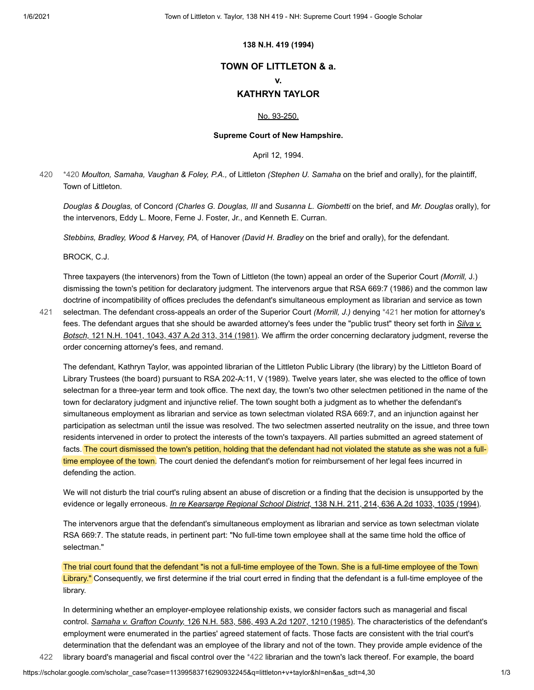### **138 N.H. 419 (1994)**

# **TOWN OF LITTLETON & a.**

#### **v.**

## **KATHRYN TAYLOR**

### [No. 93-250.](https://scholar.google.com/scholar?scidkt=1823812143936160266&as_sdt=2&hl=en)

### **Supreme Court of New Hampshire.**

<span id="page-0-1"></span>April 12, 1994.

<span id="page-0-0"></span>[\\*420](#page-0-0) *Moulton, Samaha, Vaughan & Foley, P.A.,* of Littleton *(Stephen U. Samaha* on the brief and orally), for the plaintiff, Town of Littleton. [420](#page-0-0)

*Douglas & Douglas,* of Concord *(Charles G. Douglas, III* and *Susanna L. Giombetti* on the brief, and *Mr. Douglas* orally), for the intervenors, Eddy L. Moore, Ferne J. Foster, Jr., and Kenneth E. Curran.

*Stebbins, Bradley, Wood & Harvey, PA,* of Hanover *(David H. Bradley* on the brief and orally), for the defendant.

BROCK, C.J.

Three taxpayers (the intervenors) from the Town of Littleton (the town) appeal an order of the Superior Court *(Morrill,* J.) dismissing the town's petition for declaratory judgment. The intervenors argue that RSA 669:7 (1986) and the common law doctrine of incompatibility of offices precludes the defendant's simultaneous employment as librarian and service as town selectman. The defendant cross-appeals an order of the Superior Court *(Morrill, J.)* denying [\\*421](#page-0-1) her motion for attorney's

[fees. The defendant argues that she should be awarded attorney's fees under the "public trust" theory set forth in](https://scholar.google.com/scholar_case?case=7812718904711741632&q=littleton+v+taylor&hl=en&as_sdt=4,30) *Silva v. Botsch,* 121 N.H. 1041, 1043, 437 A.2d 313, 314 (1981). We affirm the order concerning declaratory judgment, reverse the order concerning attorney's fees, and remand. [421](#page-0-1)

The defendant, Kathryn Taylor, was appointed librarian of the Littleton Public Library (the library) by the Littleton Board of Library Trustees (the board) pursuant to RSA 202-A:11, V (1989). Twelve years later, she was elected to the office of town selectman for a three-year term and took office. The next day, the town's two other selectmen petitioned in the name of the town for declaratory judgment and injunctive relief. The town sought both a judgment as to whether the defendant's simultaneous employment as librarian and service as town selectman violated RSA 669:7, and an injunction against her participation as selectman until the issue was resolved. The two selectmen asserted neutrality on the issue, and three town residents intervened in order to protect the interests of the town's taxpayers. All parties submitted an agreed statement of facts. The court dismissed the town's petition, holding that the defendant had not violated the statute as she was not a fulltime employee of the town. The court denied the defendant's motion for reimbursement of her legal fees incurred in defending the action.

We will not disturb the trial court's ruling absent an abuse of discretion or a finding that the decision is unsupported by the evidence or legally erroneous. *In re Kearsarge Regional School District,* [138 N.H. 211, 214, 636 A.2d 1033, 1035 \(1994\).](https://scholar.google.com/scholar_case?case=1628675513721669605&q=littleton+v+taylor&hl=en&as_sdt=4,30)

The intervenors argue that the defendant's simultaneous employment as librarian and service as town selectman violate RSA 669:7. The statute reads, in pertinent part: "No full-time town employee shall at the same time hold the office of selectman."

<span id="page-0-2"></span>The trial court found that the defendant "is not a full-time employee of the Town. She is a full-time employee of the Town Library." Consequently, we first determine if the trial court erred in finding that the defendant is a full-time employee of the library.

In determining whether an employer-employee relationship exists, we consider factors such as managerial and fiscal control. *Samaha v. Grafton County,* [126 N.H. 583, 586, 493 A.2d 1207, 1210 \(1985\).](https://scholar.google.com/scholar_case?case=16598647000806662449&q=littleton+v+taylor&hl=en&as_sdt=4,30) The characteristics of the defendant's employment were enumerated in the parties' agreed statement of facts. Those facts are consistent with the trial court's determination that the defendant was an employee of the library and not of the town. They provide ample evidence of the [422](#page-0-2) library board's managerial and fiscal control over the [\\*422](#page-0-2) librarian and the town's lack thereof. For example, the board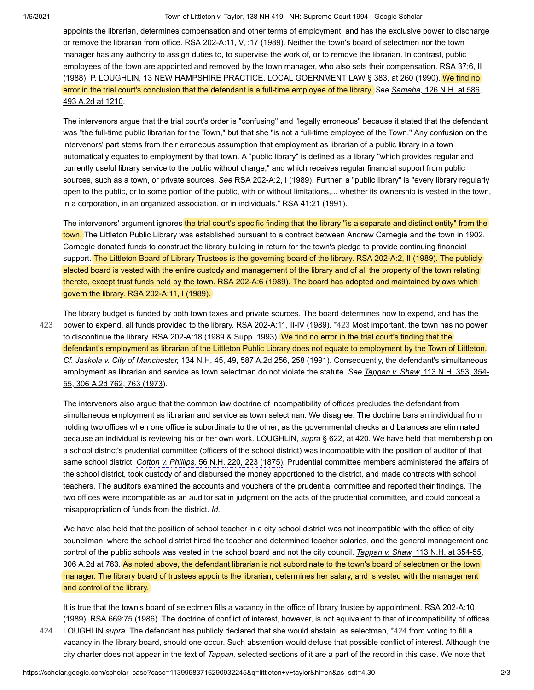1/6/2021 Town of Littleton v. Taylor, 138 NH 419 - NH: Supreme Court 1994 - Google Scholar

appoints the librarian, determines compensation and other terms of employment, and has the exclusive power to discharge or remove the librarian from office. RSA 202-A:11, V, :17 (1989). Neither the town's board of selectmen nor the town manager has any authority to assign duties to, to supervise the work of, or to remove the librarian. In contrast, public employees of the town are appointed and removed by the town manager, who also sets their compensation. RSA 37:6, II (1988); P. LOUGHLIN, 13 NEW HAMPSHIRE PRACTICE, LOCAL GOERNMENT LAW § 383, at 260 (1990). We find no [error in the trial court's conclusion that the defendant is a full-time employee of the library.](https://scholar.google.com/scholar_case?case=16598647000806662449&q=littleton+v+taylor&hl=en&as_sdt=4,30) *See Samaha,* 126 N.H. at 586, 493 A.2d at 1210.

The intervenors argue that the trial court's order is "confusing" and "legally erroneous" because it stated that the defendant was "the full-time public librarian for the Town," but that she "is not a full-time employee of the Town." Any confusion on the intervenors' part stems from their erroneous assumption that employment as librarian of a public library in a town automatically equates to employment by that town. A "public library" is defined as a library "which provides regular and currently useful library service to the public without charge," and which receives regular financial support from public sources, such as a town, or private sources. *See* RSA 202-A:2, I (1989). Further, a "public library" is "every library regularly open to the public, or to some portion of the public, with or without limitations,... whether its ownership is vested in the town, in a corporation, in an organized association, or in individuals." RSA 41:21 (1991).

The intervenors' argument ignores the trial court's specific finding that the library "is a separate and distinct entity" from the town. The Littleton Public Library was established pursuant to a contract between Andrew Carnegie and the town in 1902. Carnegie donated funds to construct the library building in return for the town's pledge to provide continuing financial support. The Littleton Board of Library Trustees is the governing board of the library. RSA 202-A:2, II (1989). The publicly elected board is vested with the entire custody and management of the library and of all the property of the town relating thereto, except trust funds held by the town. RSA 202-A:6 (1989). The board has adopted and maintained bylaws which govern the library. RSA 202-A:11, I (1989).

The library budget is funded by both town taxes and private sources. The board determines how to expend, and has the power to expend, all funds provided to the library. RSA 202-A:11, II-IV (1989). [\\*423](#page-1-0) Most important, the town has no power to discontinue the library. RSA 202-A:18 (1989 & Supp. 1993). We find no error in the trial court's finding that the defendant's employment as librarian of the Littleton Public Library does not equate to employment by the Town of Littleton. *Cf. Jaskola v. City of Manchester,* [134 N.H. 45, 49, 587 A.2d 256, 258 \(1991\).](https://scholar.google.com/scholar_case?case=11790115947648186717&q=littleton+v+taylor&hl=en&as_sdt=4,30) Consequently, the defendant's simultaneous [employment as librarian and service as town selectman do not violate the statute.](https://scholar.google.com/scholar_case?case=2252973635963906288&q=littleton+v+taylor&hl=en&as_sdt=4,30) *See Tappan v. Shaw,* 113 N.H. 353, 354- 55, 306 A.2d 762, 763 (1973). [423](#page-1-0)

<span id="page-1-0"></span>The intervenors also argue that the common law doctrine of incompatibility of offices precludes the defendant from simultaneous employment as librarian and service as town selectman. We disagree. The doctrine bars an individual from holding two offices when one office is subordinate to the other, as the governmental checks and balances are eliminated because an individual is reviewing his or her own work. LOUGHLIN, *supra* § 622, at 420. We have held that membership on a school district's prudential committee (officers of the school district) was incompatible with the position of auditor of that same school district. *Cotton v. Phillips,* [56 N.H. 220, 223 \(1875\)](https://scholar.google.com/scholar_case?about=12325192257006728128&q=littleton+v+taylor&hl=en&as_sdt=4,30). Prudential committee members administered the affairs of the school district, took custody of and disbursed the money apportioned to the district, and made contracts with school teachers. The auditors examined the accounts and vouchers of the prudential committee and reported their findings. The two offices were incompatible as an auditor sat in judgment on the acts of the prudential committee, and could conceal a misappropriation of funds from the district. *Id.*

We have also held that the position of school teacher in a city school district was not incompatible with the office of city councilman, where the school district hired the teacher and determined teacher salaries, and the general management and control of the public schools was vested in the school board and not the city council. *Tappan v. Shaw,* 113 N.H. at 354-55, [306 A.2d at 763. As noted above, the defendant librarian is not subordinate to the town's board of selectmen or the town](https://scholar.google.com/scholar_case?case=2252973635963906288&q=littleton+v+taylor&hl=en&as_sdt=4,30) manager. The library board of trustees appoints the librarian, determines her salary, and is vested with the management and control of the library.

<span id="page-1-1"></span>It is true that the town's board of selectmen fills a vacancy in the office of library trustee by appointment. RSA 202-A:10 (1989); RSA 669:75 (1986). The doctrine of conflict of interest, however, is not equivalent to that of incompatibility of offices.

LOUGHLIN *supra.* The defendant has publicly declared that she would abstain, as selectman, [\\*424](#page-1-1) from voting to fill a vacancy in the library board, should one occur. Such abstention would defuse that possible conflict of interest. Although the city charter does not appear in the text of *Tappan,* selected sections of it are a part of the record in this case. We note that [424](#page-1-1)